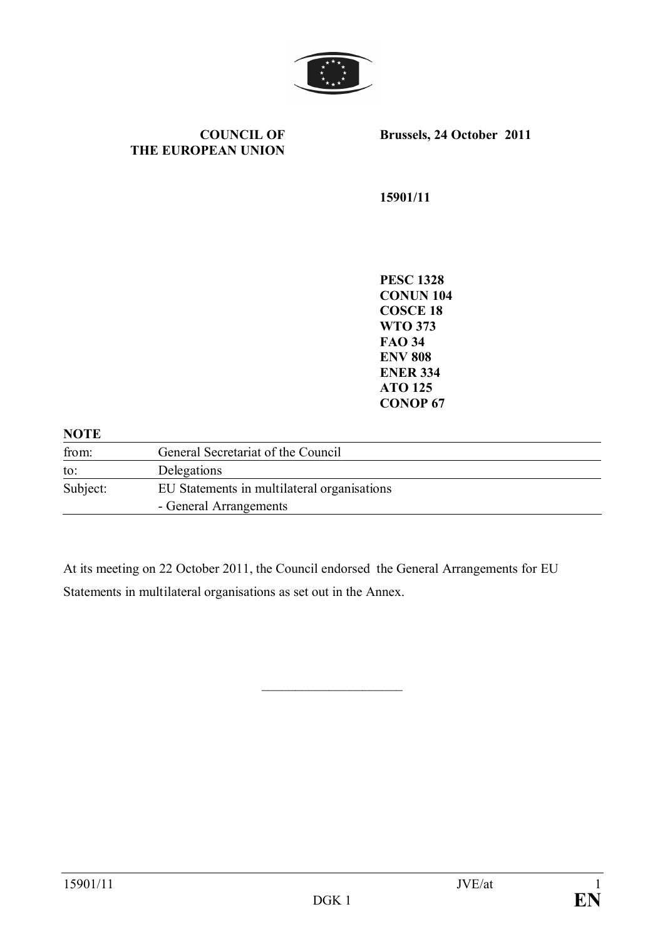

**COUNCIL OF THE EUROPEAN UNION** **Brussels, 24 October 2011**

**15901/11**

**PESC 1328 CONUN 104 COSCE 18 WTO 373 FAO 34 ENV 808 ENER 334 ATO 125 CONOP 67**

## **NOTE**

| from:    | General Secretariat of the Council          |
|----------|---------------------------------------------|
| to:      | Delegations                                 |
| Subject: | EU Statements in multilateral organisations |
|          | - General Arrangements                      |

At its meeting on 22 October 2011, the Council endorsed the General Arrangements for EU Statements in multilateral organisations as set out in the Annex.

 $\overline{\phantom{a}}$  , where  $\overline{\phantom{a}}$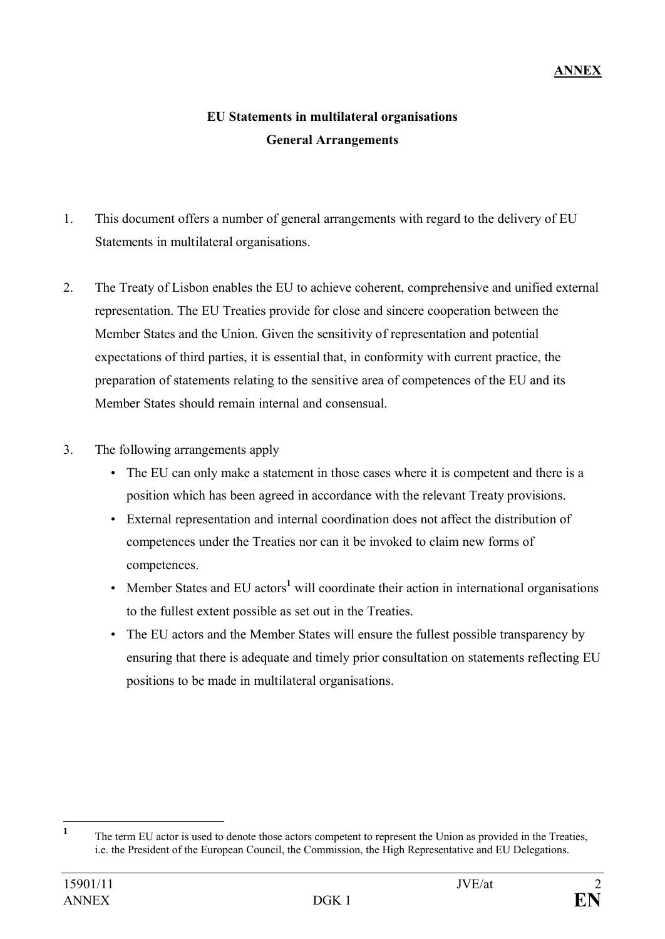## **ANNEX**

## **EU Statements in multilateral organisations General Arrangements**

- 1. This document offers a number of general arrangements with regard to the delivery of EU Statements in multilateral organisations.
- 2. The Treaty of Lisbon enables the EU to achieve coherent, comprehensive and unified external representation. The EU Treaties provide for close and sincere cooperation between the Member States and the Union. Given the sensitivity of representation and potential expectations of third parties, it is essential that, in conformity with current practice, the preparation of statements relating to the sensitive area of competences of the EU and its Member States should remain internal and consensual.
- 3. The following arrangements apply
	- The EU can only make a statement in those cases where it is competent and there is a position which has been agreed in accordance with the relevant Treaty provisions.
	- External representation and internal coordination does not affect the distribution of competences under the Treaties nor can it be invoked to claim new forms of competences.
	- Member States and EU actors<sup>1</sup> will coordinate their action in international organisations to the fullest extent possible as set out in the Treaties.
	- The EU actors and the Member States will ensure the fullest possible transparency by ensuring that there is adequate and timely prior consultation on statements reflecting EU positions to be made in multilateral organisations.

**<sup>1</sup>** The term EU actor is used to denote those actors competent to represent the Union as provided in the Treaties, i.e. the President of the European Council, the Commission, the High Representative and EU Delegations.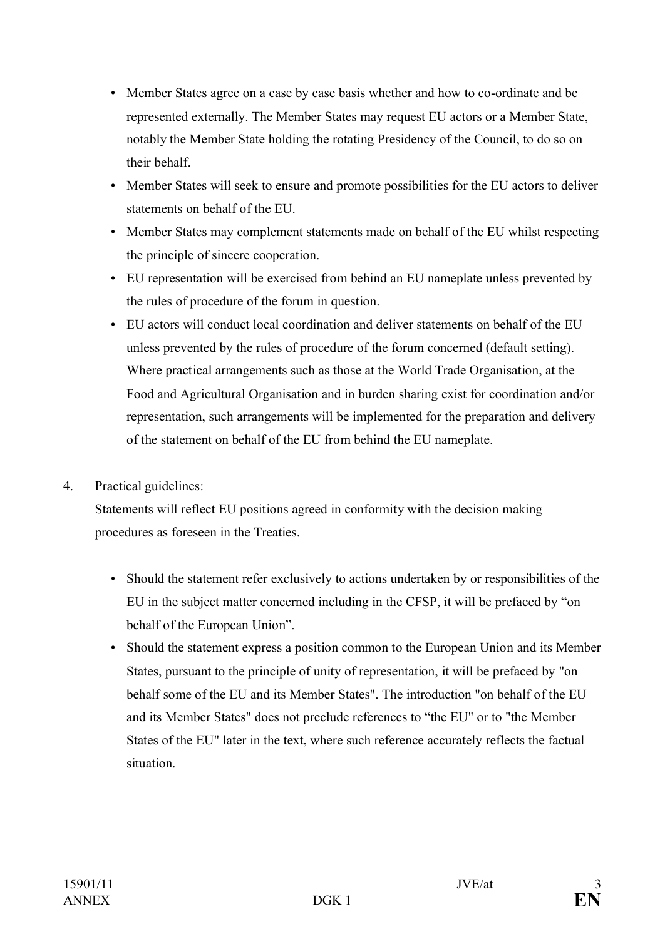- Member States agree on a case by case basis whether and how to co-ordinate and be represented externally. The Member States may request EU actors or a Member State, notably the Member State holding the rotating Presidency of the Council, to do so on their behalf.
- Member States will seek to ensure and promote possibilities for the EU actors to deliver statements on behalf of the EU.
- Member States may complement statements made on behalf of the EU whilst respecting the principle of sincere cooperation.
- EU representation will be exercised from behind an EU nameplate unless prevented by the rules of procedure of the forum in question.
- EU actors will conduct local coordination and deliver statements on behalf of the EU unless prevented by the rules of procedure of the forum concerned (default setting). Where practical arrangements such as those at the World Trade Organisation, at the Food and Agricultural Organisation and in burden sharing exist for coordination and/or representation, such arrangements will be implemented for the preparation and delivery of the statement on behalf of the EU from behind the EU nameplate.
- 4. Practical guidelines:

Statements will reflect EU positions agreed in conformity with the decision making procedures as foreseen in the Treaties.

- Should the statement refer exclusively to actions undertaken by or responsibilities of the EU in the subject matter concerned including in the CFSP, it will be prefaced by "on behalf of the European Union".
- Should the statement express a position common to the European Union and its Member States, pursuant to the principle of unity of representation, it will be prefaced by "on behalf some of the EU and its Member States". The introduction "on behalf of the EU and its Member States" does not preclude references to "the EU" or to "the Member States of the EU" later in the text, where such reference accurately reflects the factual situation.